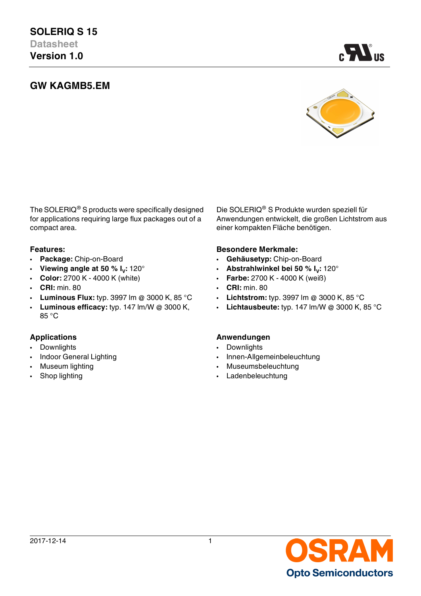# **GW KAGMB5.EM**



A.

The SOLERIQ® S products were specifically designed for applications requiring large flux packages out of a compact area.

- 
- Viewing angle at 50 %  $I_V$ : 120°
- 
- **CRI:** min. 80 **CRI:** min. 80
- **Luminous Flux:** typ. 3997 lm @ 3000 K, 85 °C **Lichtstrom:** typ. 3997 lm @ 3000 K, 85 °C
- **Luminous efficacy:** typ. 147 lm/W @ 3000 K, 85 °C

- Downlights  **Downlights**
- 
- 
- 

Die SOLERIQ® S Produkte wurden speziell für Anwendungen entwickelt, die großen Lichtstrom aus einer kompakten Fläche benötigen.

## **Features: Besondere Merkmale:**

- **Package:** Chip-on-Board **Gehäusetyp:** Chip-on-Board
	- **:** 120° **Abstrahlwinkel bei 50 % I<sup>V</sup> :** 120°
	- **Color:** 2700 K 4000 K (white) **Farbe:** 2700 K 4000 K (weiß)
		-
		-
		- **Lichtausbeute:** typ. 147 lm/W @ 3000 K, 85 °C

## **Applications Anwendungen**

- 
- Indoor General Lighting  **Innen-Allgemeinbeleuchtung**
- Museum lighting  **Museumsbeleuchtung**
- Shop lighting  **Ladenbeleuchtung**

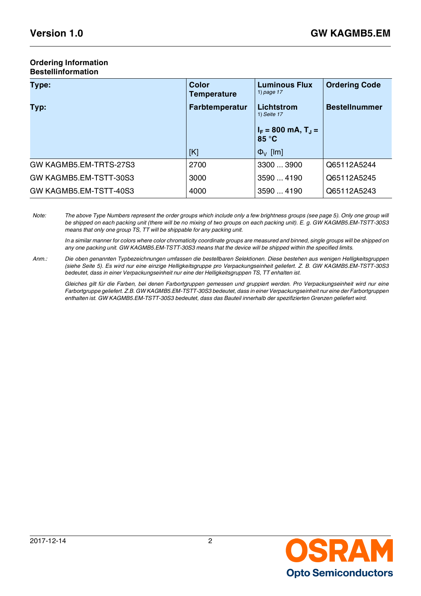#### **Ordering Information Bestellinformation**

| Type:                  | <b>Color</b><br><b>Temperature</b> | <b>Luminous Flux</b><br>1) page $17$ | <b>Ordering Code</b> |
|------------------------|------------------------------------|--------------------------------------|----------------------|
| Typ:                   | <b>Farbtemperatur</b>              | Lichtstrom<br>1) Seite 17            | <b>Bestellnummer</b> |
|                        |                                    | $I_F = 800$ mA, $T_J =$<br>85 °C     |                      |
|                        | [K]                                | $\Phi_{V}$ [lm]                      |                      |
| GW KAGMB5.EM-TRTS-27S3 | 2700                               | 3300  3900                           | Q65112A5244          |
| GW KAGMB5.EM-TSTT-30S3 | 3000                               | 3590  4190                           | Q65112A5245          |
| GW KAGMB5.EM-TSTT-40S3 | 4000                               | 3590  4190                           | Q65112A5243          |

*Note: The above Type Numbers represent the order groups which include only a few brightness groups (see page [5](#page-4-0)). Only one group will be shipped on each packing unit (there will be no mixing of two groups on each packing unit). E. g. GW KAGMB5.EM-TSTT-30S3 means that only one group TS, TT will be shippable for any packing unit.*

*In a similar manner for colors where color chromaticity coordinate groups are measured and binned, single groups will be shipped on any one packing unit. GW KAGMB5.EM-TSTT-30S3 means that the device will be shipped within the specified limits.*

*Anm.: Die oben genannten Typbezeichnungen umfassen die bestellbaren Selektionen. Diese bestehen aus wenigen Helligkeitsgruppen (siehe Seite [5\)](#page-4-1). Es wird nur eine einzige Helligkeitsgruppe pro Verpackungseinheit geliefert. Z. B. GW KAGMB5.EM-TSTT-30S3 bedeutet, dass in einer Verpackungseinheit nur eine der Helligkeitsgruppen TS, TT enhalten ist.*

*Gleiches gilt für die Farben, bei denen Farbortgruppen gemessen und gruppiert werden. Pro Verpackungseinheit wird nur eine Farbortgruppe geliefert. Z.B. GW KAGMB5.EM-TSTT-30S3 bedeutet, dass in einer Verpackungseinheit nur eine der Farbortgruppen enthalten ist. GW KAGMB5.EM-TSTT-30S3 bedeutet, dass das Bauteil innerhalb der spezifizierten Grenzen geliefert wird.*

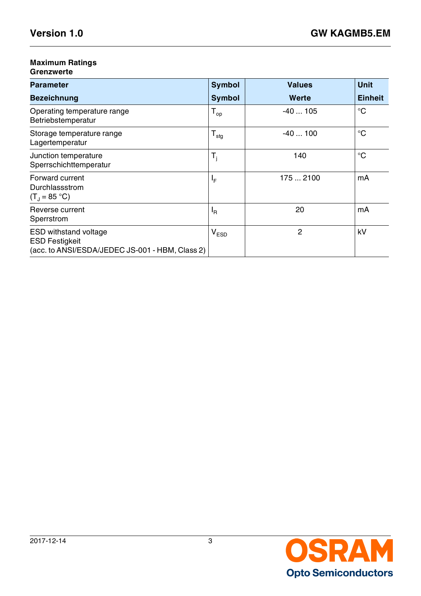## **Maximum Ratings**

## **Grenzwerte**

| <b>Parameter</b>                                                                                         | <b>Symbol</b>    | <b>Values</b> | <b>Unit</b>    |
|----------------------------------------------------------------------------------------------------------|------------------|---------------|----------------|
| <b>Bezeichnung</b>                                                                                       | <b>Symbol</b>    | Werte         | <b>Einheit</b> |
| Operating temperature range<br>Betriebstemperatur                                                        | $T_{op}$         | $-40105$      | $^{\circ}C$    |
| Storage temperature range<br>Lagertemperatur                                                             | $T_{\text{stg}}$ | $-40100$      | $^{\circ}C$    |
| Junction temperature<br>Sperrschichttemperatur                                                           | $T_i$            | 140           | $^{\circ}C$    |
| Forward current<br>Durchlassstrom<br>$(T_1 = 85 °C)$                                                     | ΙF               | 1752100       | mA             |
| Reverse current<br>Sperrstrom                                                                            | $I_R$            | 20            | mA             |
| <b>ESD withstand voltage</b><br><b>ESD Festigkeit</b><br>(acc. to ANSI/ESDA/JEDEC JS-001 - HBM, Class 2) | $V_{ESD}$        | 2             | kV             |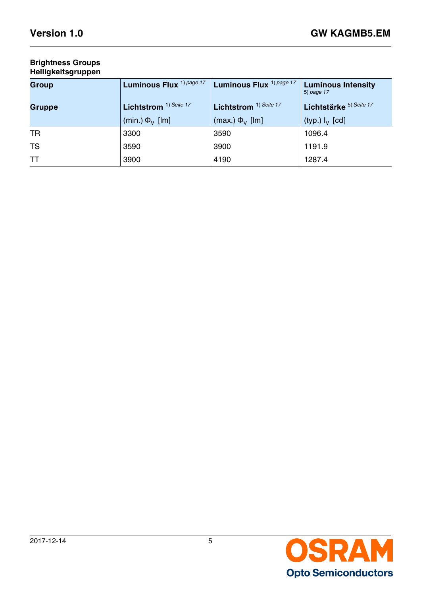## **Brightness Groups Helligkeitsgruppen**

<span id="page-4-1"></span><span id="page-4-0"></span>

| <b>Group</b> | Luminous Flux <sup>1) page 17</sup> | Luminous Flux <sup>1) page 17</sup> | <b>Luminous Intensity</b><br>5) page 17 |  |
|--------------|-------------------------------------|-------------------------------------|-----------------------------------------|--|
| Gruppe       | Lichtstrom <sup>1)</sup> Seite 17   | Lichtstrom <sup>1)</sup> Seite 17   | Lichtstärke 5) Seite 17                 |  |
|              | (min.) $\Phi_{V}$ [lm]              | (max.) $\Phi_{V}$ [lm]              | (typ.) $I_V$ [cd]                       |  |
| <b>TR</b>    | 3300                                | 3590                                | 1096.4                                  |  |
| <b>TS</b>    | 3590                                | 3900                                | 1191.9                                  |  |
| <b>TT</b>    | 3900                                | 4190                                | 1287.4                                  |  |

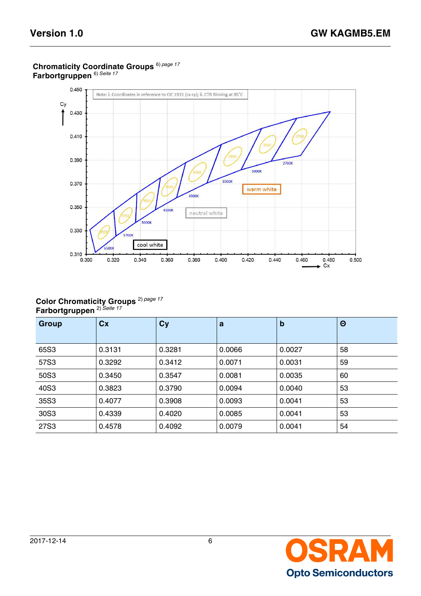

## **Chromaticity Coordinate Groups** 6) *[page 17](#page-16-4)* **Farbortgruppen** 6) *[Seite 17](#page-16-5)*

#### **Color Chromaticity Groups Farbortgruppen**  2) *Seite 17* 2) *page 17*

| Group | Cx     | Cy     | a      | $\mathbf b$ | $\Theta$ |
|-------|--------|--------|--------|-------------|----------|
|       |        |        |        |             |          |
| 65S3  | 0.3131 | 0.3281 | 0.0066 | 0.0027      | 58       |
| 57S3  | 0.3292 | 0.3412 | 0.0071 | 0.0031      | 59       |
| 50S3  | 0.3450 | 0.3547 | 0.0081 | 0.0035      | 60       |
| 40S3  | 0.3823 | 0.3790 | 0.0094 | 0.0040      | 53       |
| 35S3  | 0.4077 | 0.3908 | 0.0093 | 0.0041      | 53       |
| 30S3  | 0.4339 | 0.4020 | 0.0085 | 0.0041      | 53       |
| 27S3  | 0.4578 | 0.4092 | 0.0079 | 0.0041      | 54       |

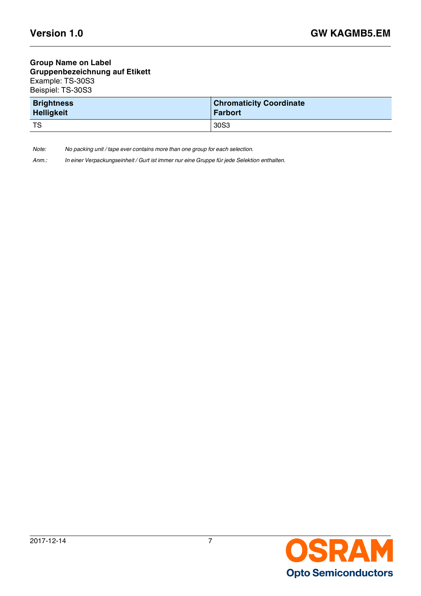## **Group Name on Label Gruppenbezeichnung auf Etikett** Example: TS-30S3 Beispiel: TS-30S3

| <b>Brightness</b> | <b>Chromaticity Coordinate</b> |
|-------------------|--------------------------------|
| <b>Helligkeit</b> | <b>Farbort</b>                 |
| TS                | 30S <sub>3</sub>               |

*Note: No packing unit / tape ever contains more than one group for each selection.*

*Anm.: In einer Verpackungseinheit / Gurt ist immer nur eine Gruppe für jede Selektion enthalten.*

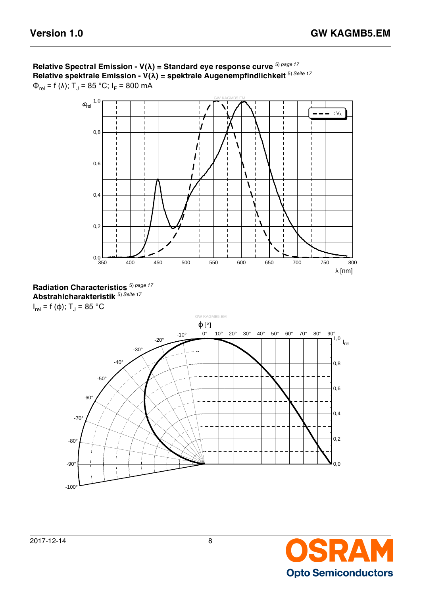







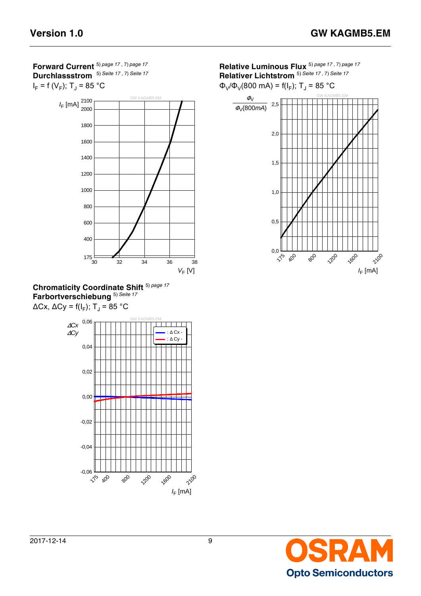**Forward Current** 5) *[page 17](#page-16-2)* , 7) *[page 17](#page-16-6)* **Durchlassstrom** 5) *[Seite 17](#page-16-3)* , 7) *[Seite 17](#page-16-7)*







**Relative Luminous Flux** 5) *[page 17](#page-16-2)* , 7) *[page 17](#page-16-6)* **Relativer Lichtstrom** 5) *[Seite 17](#page-16-3)* , 7) *[Seite 17](#page-16-7)*

 $Φ<sub>V</sub>/Φ<sub>V</sub>(800 mA) = f(I<sub>F</sub>); T<sub>J</sub> = 85 °C$ 



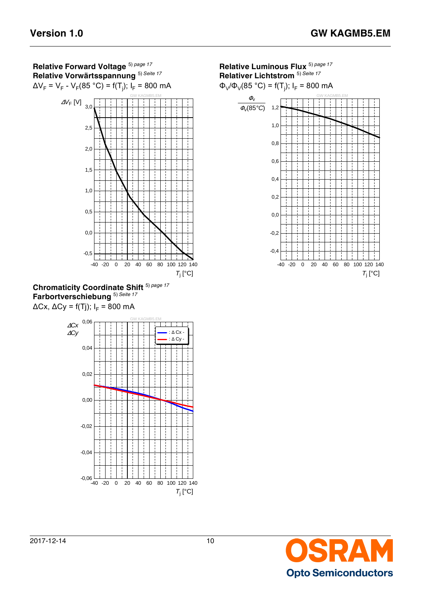





**Relative Luminous Flux** 5) *[page 17](#page-16-2)* **Relativer Lichtstrom** 5) *[Seite 17](#page-16-3)*

Φ<sub>V</sub>/Φ<sub>V</sub>(85 °C) = f(T<sub>j</sub>); I<sub>F</sub> = 800 mA



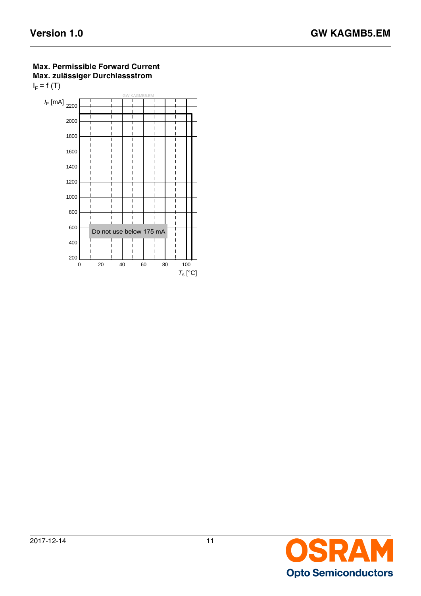## **Max. Permissible Forward Current Max. zulässiger Durchlassstrom**   $I_F$  = f (T) GW KAGMB5.EM



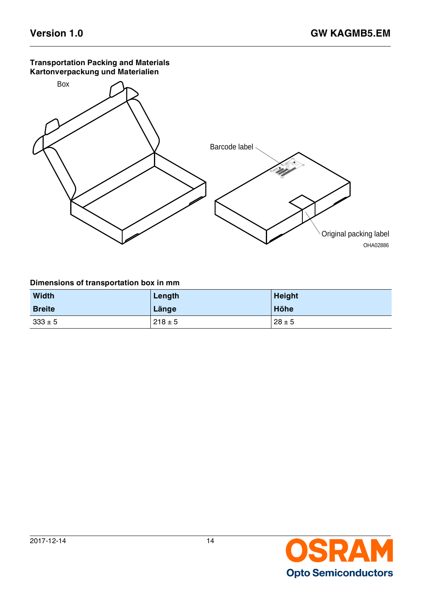## **Transportation Packing and Materials Kartonverpackung und Materialien**



## **Dimensions of transportation box in mm**

| <b>Width</b>  | Length      | <b>Height</b> |
|---------------|-------------|---------------|
| <b>Breite</b> | Länge       | Höhe          |
| $333 \pm 5$   | $218 \pm 5$ | $28 \pm 5$    |

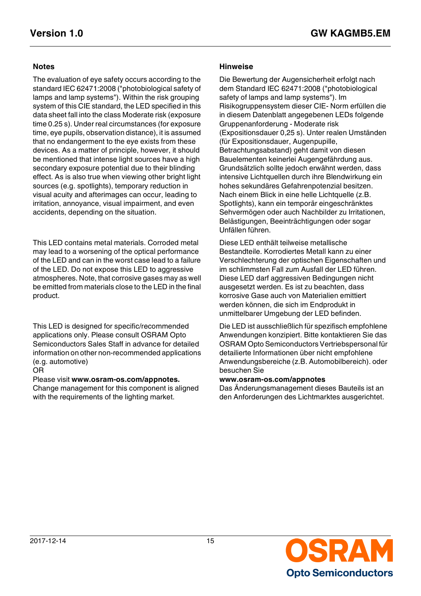The evaluation of eye safety occurs according to the standard IEC 62471:2008 ("photobiological safety of lamps and lamp systems"). Within the risk grouping system of this CIE standard, the LED specified in this data sheet fall into the class Moderate risk (exposure time 0.25 s). Under real circumstances (for exposure time, eye pupils, observation distance), it is assumed that no endangerment to the eye exists from these devices. As a matter of principle, however, it should be mentioned that intense light sources have a high secondary exposure potential due to their blinding effect. As is also true when viewing other bright light sources (e.g. spotlights), temporary reduction in visual acuity and afterimages can occur, leading to irritation, annoyance, visual impairment, and even accidents, depending on the situation.

This LED contains metal materials. Corroded metal may lead to a worsening of the optical performance of the LED and can in the worst case lead to a failure of the LED. Do not expose this LED to aggressive atmospheres. Note, that corrosive gases may as well be emitted from materials close to the LED in the final product.

This LED is designed for specific/recommended applications only. Please consult OSRAM Opto Semiconductors Sales Staff in advance for detailed information on other non-recommended applications (e.g. automotive)

### OR

Please visit **www.osram-os.com/appnotes.** Change management for this component is aligned with the requirements of the lighting market.

## **Notes Hinweise**

Die Bewertung der Augensicherheit erfolgt nach dem Standard IEC 62471:2008 ("photobiological safety of lamps and lamp systems"). Im Risikogruppensystem dieser CIE- Norm erfüllen die in diesem Datenblatt angegebenen LEDs folgende Gruppenanforderung - Moderate risk (Expositionsdauer 0,25 s). Unter realen Umständen (für Expositionsdauer, Augenpupille, Betrachtungsabstand) geht damit von diesen Bauelementen keinerlei Augengefährdung aus. Grundsätzlich sollte jedoch erwähnt werden, dass intensive Lichtquellen durch ihre Blendwirkung ein hohes sekundäres Gefahrenpotenzial besitzen. Nach einem Blick in eine helle Lichtquelle (z.B. Spotlights), kann ein temporär eingeschränktes Sehvermögen oder auch Nachbilder zu Irritationen, Belästigungen, Beeinträchtigungen oder sogar Unfällen führen.

Diese LED enthält teilweise metallische Bestandteile. Korrodiertes Metall kann zu einer Verschlechterung der optischen Eigenschaften und im schlimmsten Fall zum Ausfall der LED führen. Diese LED darf aggressiven Bedingungen nicht ausgesetzt werden. Es ist zu beachten, dass korrosive Gase auch von Materialien emittiert werden können, die sich im Endprodukt in unmittelbarer Umgebung der LED befinden.

Die LED ist ausschließlich für spezifisch empfohlene Anwendungen konzipiert. Bitte kontaktieren Sie das OSRAM Opto Semiconductors Vertriebspersonal für detailierte Informationen über nicht empfohlene Anwendungsbereiche (z.B. Automobilbereich). oder besuchen Sie

## **www.osram-os.com/appnotes**

Das Änderungsmanagement dieses Bauteils ist an den Anforderungen des Lichtmarktes ausgerichtet.